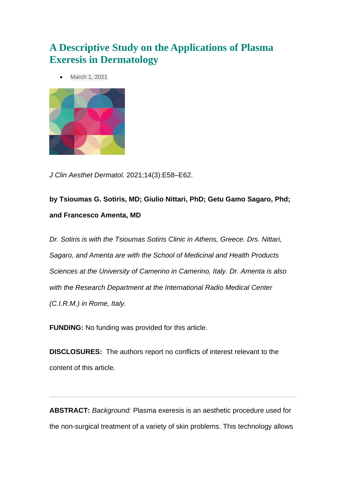# **A Descriptive Study on the Applications of Plasma Exeresis in Dermatology**

[March 1, 2021](https://jcadonline.com/2021/03/01/)



*J Clin Aesthet Dermatol.* 2021;14(3):E58–E62.

**by Tsioumas G. Sotiris, MD; Giulio Nittari, PhD; Getu Gamo Sagaro, Phd; and Francesco Amenta, MD**

*Dr. Sotiris is with the Tsioumas Sotiris Clinic in Athens, Greece. Drs. Nittari, Sagaro, and Amenta are with the School of Medicinal and Health Products Sciences at the University of Camerino in Camerino, Italy. Dr. Amenta is also with the Research Department at the International Radio Medical Center (C.I.R.M.) in Rome, Italy.*

**FUNDING:** No funding was provided for this article.

**DISCLOSURES:** The authors report no conflicts of interest relevant to the content of this article.

**ABSTRACT:** *Background:* Plasma exeresis is an aesthetic procedure used for the non-surgical treatment of a variety of skin problems. This technology allows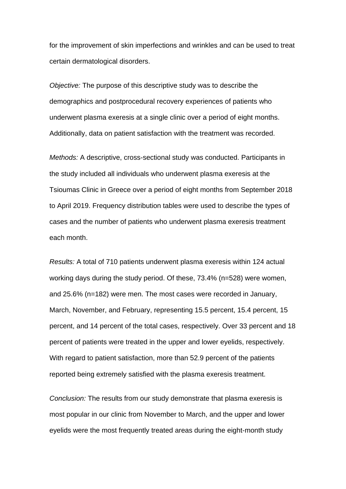for the improvement of skin imperfections and wrinkles and can be used to treat certain dermatological disorders.

*Objective:* The purpose of this descriptive study was to describe the demographics and postprocedural recovery experiences of patients who underwent plasma exeresis at a single clinic over a period of eight months. Additionally, data on patient satisfaction with the treatment was recorded.

*Methods:* A descriptive, cross-sectional study was conducted. Participants in the study included all individuals who underwent plasma exeresis at the Tsioumas Clinic in Greece over a period of eight months from September 2018 to April 2019. Frequency distribution tables were used to describe the types of cases and the number of patients who underwent plasma exeresis treatment each month.

*Results:* A total of 710 patients underwent plasma exeresis within 124 actual working days during the study period. Of these, 73.4% (n=528) were women, and 25.6% (n=182) were men. The most cases were recorded in January, March, November, and February, representing 15.5 percent, 15.4 percent, 15 percent, and 14 percent of the total cases, respectively. Over 33 percent and 18 percent of patients were treated in the upper and lower eyelids, respectively. With regard to patient satisfaction, more than 52.9 percent of the patients reported being extremely satisfied with the plasma exeresis treatment.

*Conclusion:* The results from our study demonstrate that plasma exeresis is most popular in our clinic from November to March, and the upper and lower eyelids were the most frequently treated areas during the eight-month study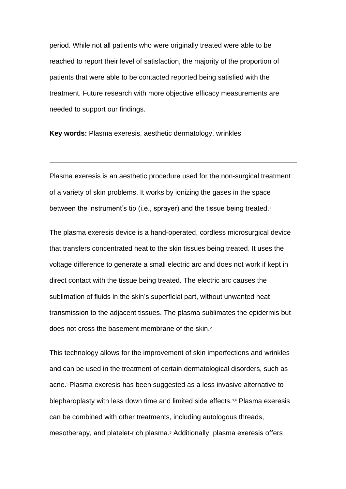period. While not all patients who were originally treated were able to be reached to report their level of satisfaction, the majority of the proportion of patients that were able to be contacted reported being satisfied with the treatment. Future research with more objective efficacy measurements are needed to support our findings.

**Key words:** Plasma exeresis, aesthetic dermatology, wrinkles

Plasma exeresis is an aesthetic procedure used for the non-surgical treatment of a variety of skin problems. It works by ionizing the gases in the space between the instrument's tip (i.e., sprayer) and the tissue being treated.<sup>1</sup>

The plasma exeresis device is a hand-operated, cordless microsurgical device that transfers concentrated heat to the skin tissues being treated. It uses the voltage difference to generate a small electric arc and does not work if kept in direct contact with the tissue being treated. The electric arc causes the sublimation of fluids in the skin's superficial part, without unwanted heat transmission to the adjacent tissues. The plasma sublimates the epidermis but does not cross the basement membrane of the skin.<sup>2</sup>

This technology allows for the improvement of skin imperfections and wrinkles and can be used in the treatment of certain dermatological disorders, such as acne.3Plasma exeresis has been suggested as a less invasive alternative to blepharoplasty with less down time and limited side effects.3,4 Plasma exeresis can be combined with other treatments, including autologous threads, mesotherapy, and platelet-rich plasma.<sup>5</sup> Additionally, plasma exeresis offers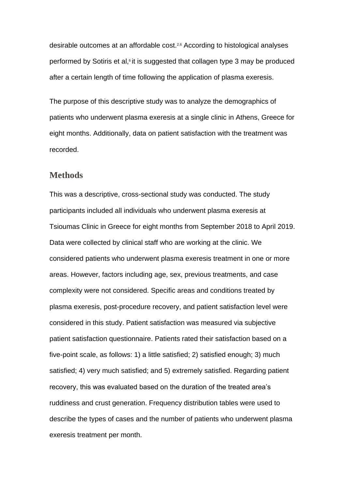desirable outcomes at an affordable cost.2,6 According to histological analyses performed by Sotiris et al,<sup>6</sup> it is suggested that collagen type 3 may be produced after a certain length of time following the application of plasma exeresis.

The purpose of this descriptive study was to analyze the demographics of patients who underwent plasma exeresis at a single clinic in Athens, Greece for eight months. Additionally, data on patient satisfaction with the treatment was recorded.

#### **Methods**

This was a descriptive, cross-sectional study was conducted. The study participants included all individuals who underwent plasma exeresis at Tsioumas Clinic in Greece for eight months from September 2018 to April 2019. Data were collected by clinical staff who are working at the clinic. We considered patients who underwent plasma exeresis treatment in one or more areas. However, factors including age, sex, previous treatments, and case complexity were not considered. Specific areas and conditions treated by plasma exeresis, post-procedure recovery, and patient satisfaction level were considered in this study. Patient satisfaction was measured via subjective patient satisfaction questionnaire. Patients rated their satisfaction based on a five-point scale, as follows: 1) a little satisfied; 2) satisfied enough; 3) much satisfied; 4) very much satisfied; and 5) extremely satisfied. Regarding patient recovery, this was evaluated based on the duration of the treated area's ruddiness and crust generation. Frequency distribution tables were used to describe the types of cases and the number of patients who underwent plasma exeresis treatment per month.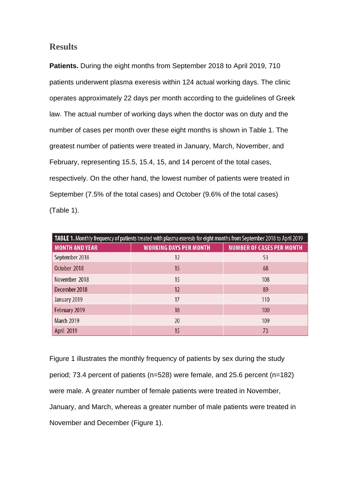### **Results**

**Patients.** During the eight months from September 2018 to April 2019, 710 patients underwent plasma exeresis within 124 actual working days. The clinic operates approximately 22 days per month according to the guidelines of Greek law. The actual number of working days when the doctor was on duty and the number of cases per month over these eight months is shown in Table 1. The greatest number of patients were treated in January, March, November, and February, representing 15.5, 15.4, 15, and 14 percent of the total cases, respectively. On the other hand, the lowest number of patients were treated in September (7.5% of the total cases) and October (9.6% of the total cases) (Table 1).

| TABLE 1. Monthly frequency of patients treated with plasma exeresis for eight months from September 2018 to April 2019 |                               |                                  |  |
|------------------------------------------------------------------------------------------------------------------------|-------------------------------|----------------------------------|--|
| <b>MONTH AND YEAR</b>                                                                                                  | <b>WORKING DAYS PER MONTH</b> | <b>NUMBER OF CASES PER MONTH</b> |  |
| September 2018                                                                                                         | 12                            | 53                               |  |
| October 2018                                                                                                           | 15                            | 68                               |  |
| November 2018                                                                                                          | 15                            | 108                              |  |
| December 2018                                                                                                          | 12                            | 89                               |  |
| January 2019                                                                                                           | 17                            | 110                              |  |
| February 2019                                                                                                          | 18                            | 100                              |  |
| <b>March 2019</b>                                                                                                      | 20                            | 109                              |  |
| April 2019                                                                                                             | 15                            | 73                               |  |

Figure 1 illustrates the monthly frequency of patients by sex during the study period; 73.4 percent of patients (n=528) were female, and 25.6 percent (n=182) were male. A greater number of female patients were treated in November, January, and March, whereas a greater number of male patients were treated in November and December (Figure 1).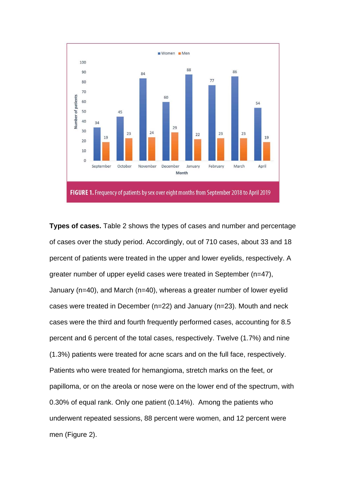

**Types of cases.** Table 2 shows the types of cases and number and percentage of cases over the study period. Accordingly, out of 710 cases, about 33 and 18 percent of patients were treated in the upper and lower eyelids, respectively. A greater number of upper eyelid cases were treated in September (n=47), January (n=40), and March (n=40), whereas a greater number of lower eyelid cases were treated in December (n=22) and January (n=23). Mouth and neck cases were the third and fourth frequently performed cases, accounting for 8.5 percent and 6 percent of the total cases, respectively. Twelve (1.7%) and nine (1.3%) patients were treated for acne scars and on the full face, respectively. Patients who were treated for hemangioma, stretch marks on the feet, or papilloma, or on the areola or nose were on the lower end of the spectrum, with 0.30% of equal rank. Only one patient (0.14%). Among the patients who underwent repeated sessions, 88 percent were women, and 12 percent were men (Figure 2).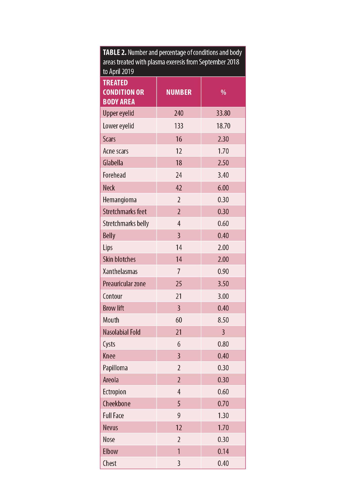| areas treated with plasma exeresis from September 2018<br>to April 2019 |                |                |  |
|-------------------------------------------------------------------------|----------------|----------------|--|
| <b>TREATED</b><br><b>CONDITION OR</b><br><b>BODY AREA</b>               | <b>NUMBER</b>  | $\frac{0}{0}$  |  |
| <b>Upper eyelid</b>                                                     | 240            | 33.80          |  |
| Lower eyelid                                                            | 133            | 18.70          |  |
| <b>Scars</b>                                                            | 16             | 2.30           |  |
| Acne scars                                                              | 12             | 1.70           |  |
| Glabella                                                                | 18             | 2.50           |  |
| Forehead                                                                | 24             | 3.40           |  |
| <b>Neck</b>                                                             | 42             | 6.00           |  |
| Hemangioma                                                              | $\overline{2}$ | 0.30           |  |
| <b>Stretchmarks feet</b>                                                | $\overline{2}$ | 0.30           |  |
| <b>Stretchmarks belly</b>                                               | $\overline{4}$ | 0.60           |  |
| <b>Belly</b>                                                            | $\overline{3}$ | 0.40           |  |
| Lips                                                                    | 14             | 2.00           |  |
| <b>Skin blotches</b>                                                    | 14             | 2.00           |  |
| Xanthelasmas                                                            | 7              | 0.90           |  |
| Preauricular zone                                                       | 25             | 3.50           |  |
| Contour                                                                 | 21             | 3.00           |  |
| <b>Brow lift</b>                                                        | $\overline{3}$ | 0.40           |  |
| Mouth                                                                   | 60             | 8.50           |  |
| Nasolabial Fold                                                         | 21             | $\overline{3}$ |  |
| Cysts                                                                   | 6              | 0.80           |  |
| Knee                                                                    | $\overline{3}$ | 0.40           |  |
| Papilloma                                                               | $\overline{2}$ | 0.30           |  |
| Areola                                                                  | $\overline{2}$ | 0.30           |  |
| Ectropion                                                               | $\overline{4}$ | 0.60           |  |
| Cheekbone                                                               | 5              | 0.70           |  |
| <b>Full Face</b>                                                        | 9              | 1.30           |  |
| <b>Nevus</b>                                                            | 12             | 1.70           |  |
| Nose                                                                    | $\overline{2}$ | 0.30           |  |
| Elbow                                                                   | 1              | 0.14           |  |
| Chest                                                                   | 3              | 0.40           |  |

TABLE 2. Number and percentage of conditions and body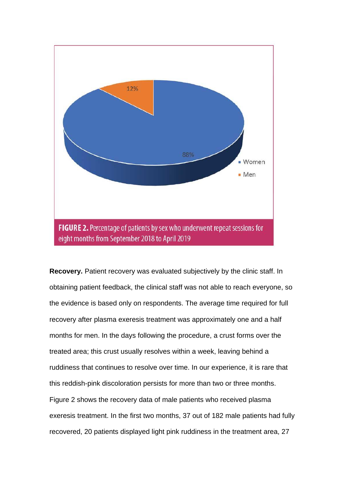

**Recovery.** Patient recovery was evaluated subjectively by the clinic staff. In obtaining patient feedback, the clinical staff was not able to reach everyone, so the evidence is based only on respondents. The average time required for full recovery after plasma exeresis treatment was approximately one and a half months for men. In the days following the procedure, a crust forms over the treated area; this crust usually resolves within a week, leaving behind a ruddiness that continues to resolve over time. In our experience, it is rare that this reddish-pink discoloration persists for more than two or three months. Figure 2 shows the recovery data of male patients who received plasma exeresis treatment. In the first two months, 37 out of 182 male patients had fully recovered, 20 patients displayed light pink ruddiness in the treatment area, 27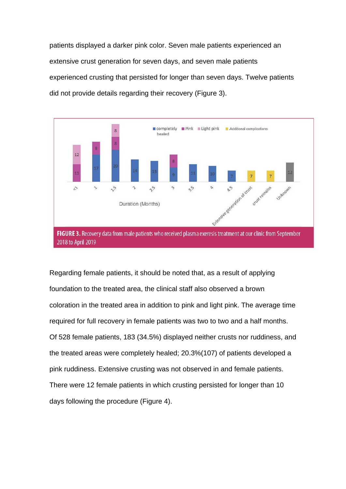patients displayed a darker pink color. Seven male patients experienced an extensive crust generation for seven days, and seven male patients experienced crusting that persisted for longer than seven days. Twelve patients did not provide details regarding their recovery (Figure 3).



Regarding female patients, it should be noted that, as a result of applying foundation to the treated area, the clinical staff also observed a brown coloration in the treated area in addition to pink and light pink. The average time required for full recovery in female patients was two to two and a half months. Of 528 female patients, 183 (34.5%) displayed neither crusts nor ruddiness, and the treated areas were completely healed; 20.3%(107) of patients developed a pink ruddiness. Extensive crusting was not observed in and female patients. There were 12 female patients in which crusting persisted for longer than 10 days following the procedure (Figure 4).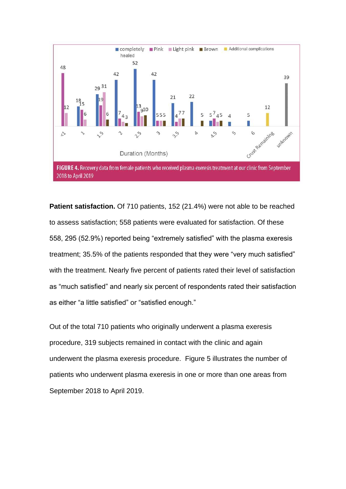

**Patient satisfaction.** Of 710 patients, 152 (21.4%) were not able to be reached to assess satisfaction; 558 patients were evaluated for satisfaction. Of these 558, 295 (52.9%) reported being "extremely satisfied" with the plasma exeresis treatment; 35.5% of the patients responded that they were "very much satisfied" with the treatment. Nearly five percent of patients rated their level of satisfaction as "much satisfied" and nearly six percent of respondents rated their satisfaction as either "a little satisfied" or "satisfied enough."

Out of the total 710 patients who originally underwent a plasma exeresis procedure, 319 subjects remained in contact with the clinic and again underwent the plasma exeresis procedure. Figure 5 illustrates the number of patients who underwent plasma exeresis in one or more than one areas from September 2018 to April 2019.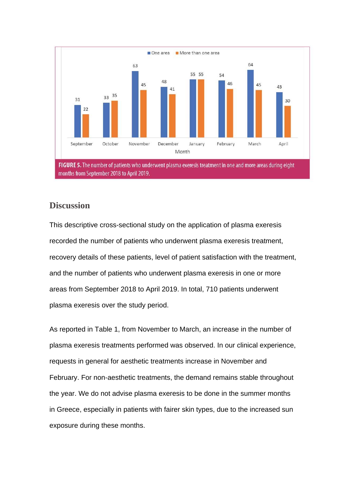

### **Discussion**

This descriptive cross-sectional study on the application of plasma exeresis recorded the number of patients who underwent plasma exeresis treatment, recovery details of these patients, level of patient satisfaction with the treatment, and the number of patients who underwent plasma exeresis in one or more areas from September 2018 to April 2019. In total, 710 patients underwent plasma exeresis over the study period.

As reported in Table 1, from November to March, an increase in the number of plasma exeresis treatments performed was observed. In our clinical experience, requests in general for aesthetic treatments increase in November and February. For non-aesthetic treatments, the demand remains stable throughout the year. We do not advise plasma exeresis to be done in the summer months in Greece, especially in patients with fairer skin types, due to the increased sun exposure during these months.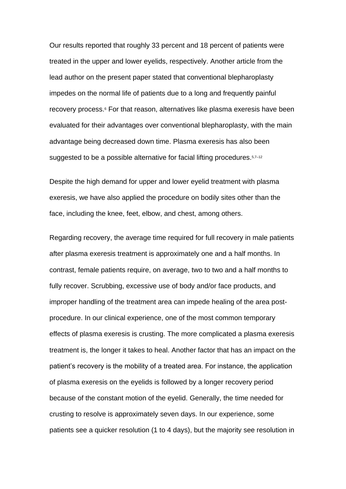Our results reported that roughly 33 percent and 18 percent of patients were treated in the upper and lower eyelids, respectively. Another article from the lead author on the present paper stated that conventional blepharoplasty impedes on the normal life of patients due to a long and frequently painful recovery process.<sup>6</sup> For that reason, alternatives like plasma exeresis have been evaluated for their advantages over conventional blepharoplasty, with the main advantage being decreased down time. Plasma exeresis has also been suggested to be a possible alternative for facial lifting procedures. 5,7-12

Despite the high demand for upper and lower eyelid treatment with plasma exeresis, we have also applied the procedure on bodily sites other than the face, including the knee, feet, elbow, and chest, among others.

Regarding recovery, the average time required for full recovery in male patients after plasma exeresis treatment is approximately one and a half months. In contrast, female patients require, on average, two to two and a half months to fully recover. Scrubbing, excessive use of body and/or face products, and improper handling of the treatment area can impede healing of the area postprocedure. In our clinical experience, one of the most common temporary effects of plasma exeresis is crusting. The more complicated a plasma exeresis treatment is, the longer it takes to heal. Another factor that has an impact on the patient's recovery is the mobility of a treated area. For instance, the application of plasma exeresis on the eyelids is followed by a longer recovery period because of the constant motion of the eyelid. Generally, the time needed for crusting to resolve is approximately seven days. In our experience, some patients see a quicker resolution (1 to 4 days), but the majority see resolution in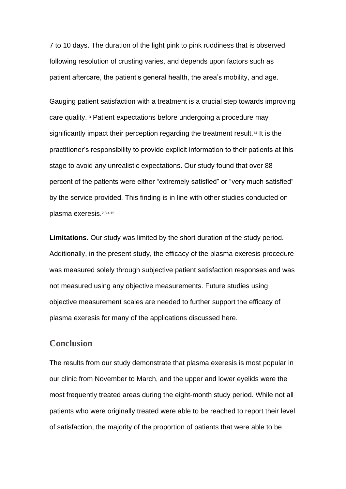7 to 10 days. The duration of the light pink to pink ruddiness that is observed following resolution of crusting varies, and depends upon factors such as patient aftercare, the patient's general health, the area's mobility, and age.

Gauging patient satisfaction with a treatment is a crucial step towards improving care quality.<sup>13</sup> Patient expectations before undergoing a procedure may significantly impact their perception regarding the treatment result.<sup>14</sup> It is the practitioner's responsibility to provide explicit information to their patients at this stage to avoid any unrealistic expectations. Our study found that over 88 percent of the patients were either "extremely satisfied" or "very much satisfied" by the service provided. This finding is in line with other studies conducted on plasma exeresis.2,3,4,15

**Limitations.** Our study was limited by the short duration of the study period. Additionally, in the present study, the efficacy of the plasma exeresis procedure was measured solely through subjective patient satisfaction responses and was not measured using any objective measurements. Future studies using objective measurement scales are needed to further support the efficacy of plasma exeresis for many of the applications discussed here.

#### **Conclusion**

The results from our study demonstrate that plasma exeresis is most popular in our clinic from November to March, and the upper and lower eyelids were the most frequently treated areas during the eight-month study period. While not all patients who were originally treated were able to be reached to report their level of satisfaction, the majority of the proportion of patients that were able to be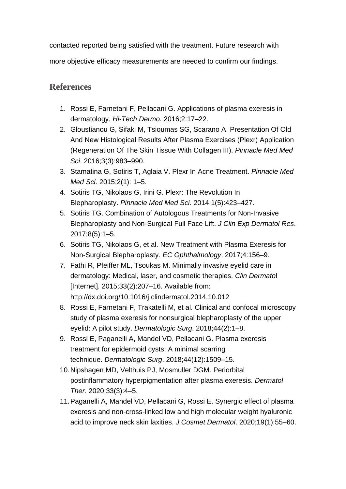contacted reported being satisfied with the treatment. Future research with

more objective efficacy measurements are needed to confirm our findings.

## **References**

- 1. Rossi E, Farnetani F, Pellacani G. Applications of plasma exeresis in dermatology. *Hi-Tech Dermo.* 2016;2:17–22.
- 2. Gloustianou G, Sifaki M, Tsioumas SG, Scarano A. Presentation Of Old And New Histological Results After Plasma Exercises (Plexr) Application (Regeneration Of The Skin Tissue With Collagen III). *Pinnacle Med Med Sci*. 2016;3(3):983–990.
- 3. Stamatina G, Sotiris T, Aglaia V. Plexr In Acne Treatment. *Pinnacle Med Med Sci*. 2015;2(1): 1–5.
- 4. Sotiris TG, Nikolaos G, Irini G. Plexr: The Revolution In Blepharoplasty. *Pinnacle Med Med Sci*. 2014;1(5):423–427.
- 5. Sotiris TG. Combination of Autologous Treatments for Non-Invasive Blepharoplasty and Non-Surgical Full Face Lift. *J Clin Exp Dermatol Res*. 2017;8(5):1–5.
- 6. Sotiris TG, Nikolaos G, et al. New Treatment with Plasma Exeresis for Non-Surgical Blepharoplasty. *EC Ophthalmology*. 2017;4:156–9.
- 7. Fathi R, Pfeiffer ML, Tsoukas M. Minimally invasive eyelid care in dermatology: Medical, laser, and cosmetic therapies. *Clin Dermato*l [Internet]. 2015;33(2):207–16. Available from: http://dx.doi.org/10.1016/j.clindermatol.2014.10.012
- 8. Rossi E, Farnetani F, Trakatelli M, et al. Clinical and confocal microscopy study of plasma exeresis for nonsurgical blepharoplasty of the upper eyelid: A pilot study. *Dermatologic Surg*. 2018;44(2):1–8.
- 9. Rossi E, Paganelli A, Mandel VD, Pellacani G. Plasma exeresis treatment for epidermoid cysts: A minimal scarring technique. *Dermatologic Surg*. 2018;44(12):1509–15.
- 10.Nipshagen MD, Velthuis PJ, Mosmuller DGM. Periorbital postinflammatory hyperpigmentation after plasma exeresis. *Dermatol Ther*. 2020;33(3):4–5.
- 11.Paganelli A, Mandel VD, Pellacani G, Rossi E. Synergic effect of plasma exeresis and non-cross-linked low and high molecular weight hyaluronic acid to improve neck skin laxities. *J Cosmet Dermatol*. 2020;19(1):55–60.